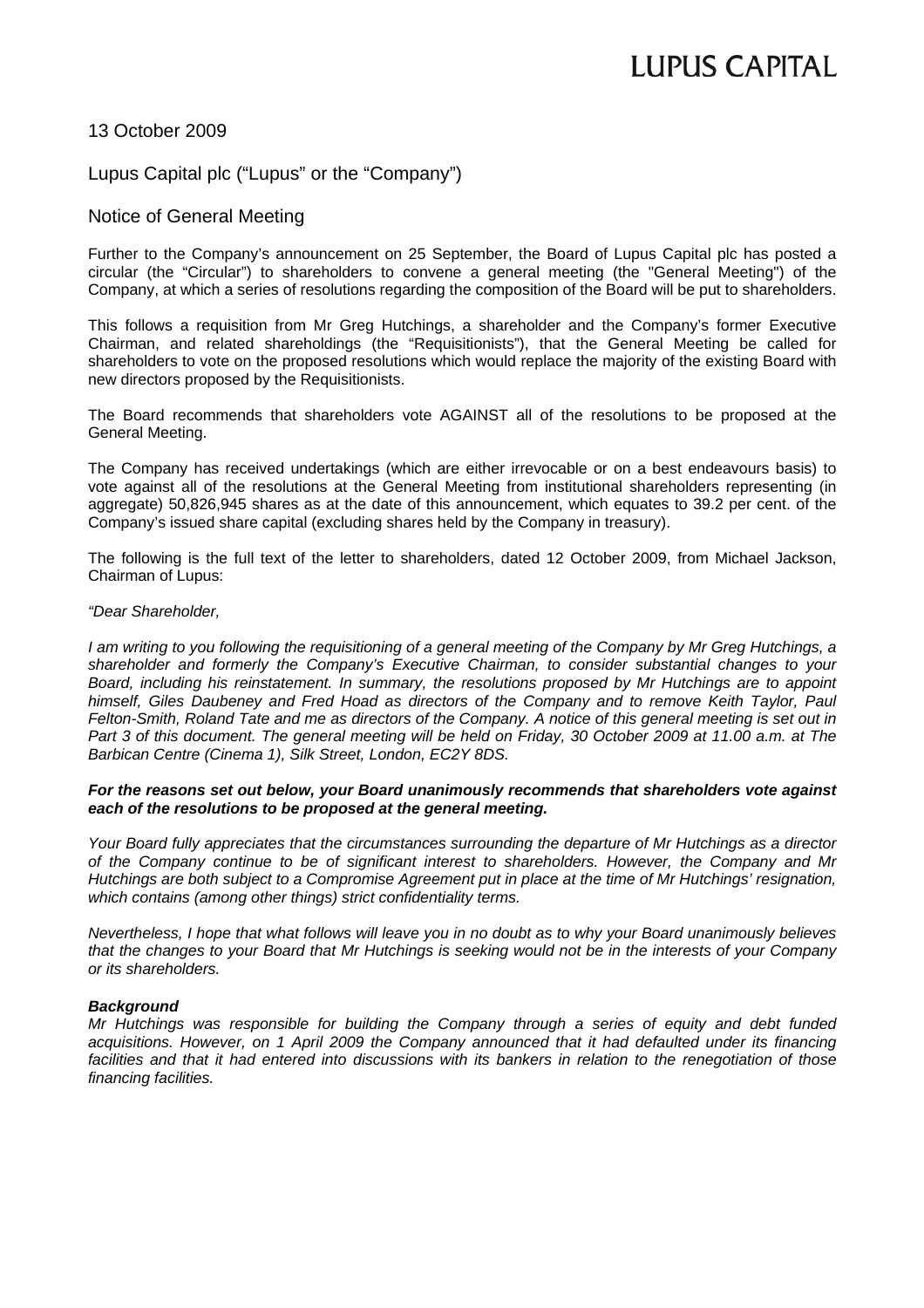# **LUPUS CAPITAL**

## 13 October 2009

## Lupus Capital plc ("Lupus" or the "Company")

### Notice of General Meeting

Further to the Company's announcement on 25 September, the Board of Lupus Capital plc has posted a circular (the "Circular") to shareholders to convene a general meeting (the "General Meeting") of the Company, at which a series of resolutions regarding the composition of the Board will be put to shareholders.

This follows a requisition from Mr Greg Hutchings, a shareholder and the Company's former Executive Chairman, and related shareholdings (the "Requisitionists"), that the General Meeting be called for shareholders to vote on the proposed resolutions which would replace the majority of the existing Board with new directors proposed by the Requisitionists.

The Board recommends that shareholders vote AGAINST all of the resolutions to be proposed at the General Meeting.

The Company has received undertakings (which are either irrevocable or on a best endeavours basis) to vote against all of the resolutions at the General Meeting from institutional shareholders representing (in aggregate) 50,826,945 shares as at the date of this announcement, which equates to 39.2 per cent. of the Company's issued share capital (excluding shares held by the Company in treasury).

The following is the full text of the letter to shareholders, dated 12 October 2009, from Michael Jackson, Chairman of Lupus:

### *"Dear Shareholder,*

*I am writing to you following the requisitioning of a general meeting of the Company by Mr Greg Hutchings, a shareholder and formerly the Company's Executive Chairman, to consider substantial changes to your Board, including his reinstatement. In summary, the resolutions proposed by Mr Hutchings are to appoint himself, Giles Daubeney and Fred Hoad as directors of the Company and to remove Keith Taylor, Paul Felton-Smith, Roland Tate and me as directors of the Company. A notice of this general meeting is set out in Part 3 of this document. The general meeting will be held on Friday, 30 October 2009 at 11.00 a.m. at The Barbican Centre (Cinema 1), Silk Street, London, EC2Y 8DS.* 

### *For the reasons set out below, your Board unanimously recommends that shareholders vote against each of the resolutions to be proposed at the general meeting.*

*Your Board fully appreciates that the circumstances surrounding the departure of Mr Hutchings as a director of the Company continue to be of significant interest to shareholders. However, the Company and Mr Hutchings are both subject to a Compromise Agreement put in place at the time of Mr Hutchings' resignation, which contains (among other things) strict confidentiality terms.* 

*Nevertheless, I hope that what follows will leave you in no doubt as to why your Board unanimously believes that the changes to your Board that Mr Hutchings is seeking would not be in the interests of your Company or its shareholders.* 

### *Background*

*Mr Hutchings was responsible for building the Company through a series of equity and debt funded acquisitions. However, on 1 April 2009 the Company announced that it had defaulted under its financing facilities and that it had entered into discussions with its bankers in relation to the renegotiation of those financing facilities.*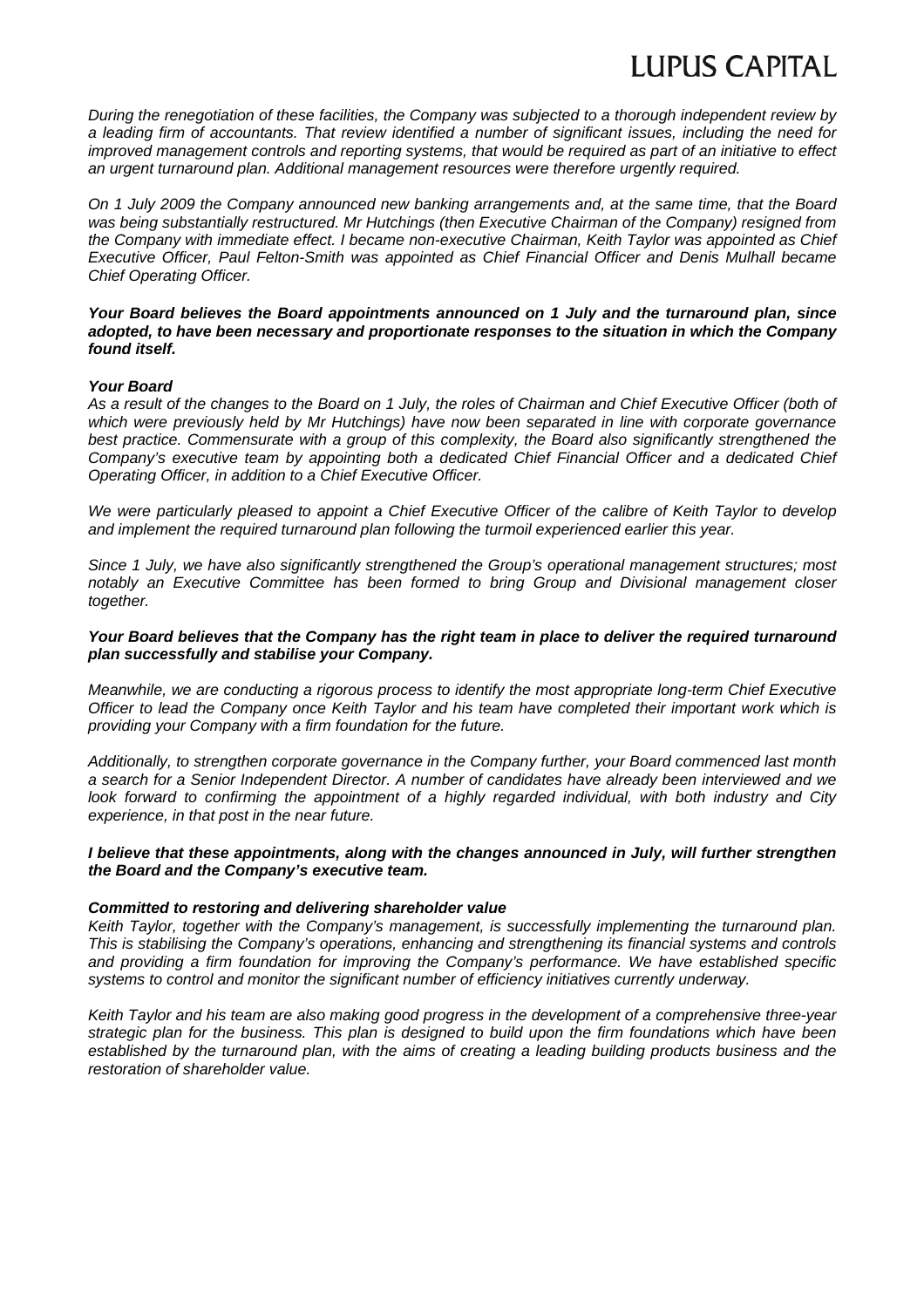*During the renegotiation of these facilities, the Company was subjected to a thorough independent review by a leading firm of accountants. That review identified a number of significant issues, including the need for improved management controls and reporting systems, that would be required as part of an initiative to effect an urgent turnaround plan. Additional management resources were therefore urgently required.* 

*On 1 July 2009 the Company announced new banking arrangements and, at the same time, that the Board was being substantially restructured. Mr Hutchings (then Executive Chairman of the Company) resigned from the Company with immediate effect. I became non-executive Chairman, Keith Taylor was appointed as Chief Executive Officer, Paul Felton-Smith was appointed as Chief Financial Officer and Denis Mulhall became Chief Operating Officer.* 

#### *Your Board believes the Board appointments announced on 1 July and the turnaround plan, since adopted, to have been necessary and proportionate responses to the situation in which the Company found itself.*

### *Your Board*

*As a result of the changes to the Board on 1 July, the roles of Chairman and Chief Executive Officer (both of which were previously held by Mr Hutchings) have now been separated in line with corporate governance best practice. Commensurate with a group of this complexity, the Board also significantly strengthened the Company's executive team by appointing both a dedicated Chief Financial Officer and a dedicated Chief Operating Officer, in addition to a Chief Executive Officer.* 

*We were particularly pleased to appoint a Chief Executive Officer of the calibre of Keith Taylor to develop and implement the required turnaround plan following the turmoil experienced earlier this year.* 

*Since 1 July, we have also significantly strengthened the Group's operational management structures; most notably an Executive Committee has been formed to bring Group and Divisional management closer together.* 

### *Your Board believes that the Company has the right team in place to deliver the required turnaround plan successfully and stabilise your Company.*

*Meanwhile, we are conducting a rigorous process to identify the most appropriate long-term Chief Executive Officer to lead the Company once Keith Taylor and his team have completed their important work which is providing your Company with a firm foundation for the future.* 

*Additionally, to strengthen corporate governance in the Company further, your Board commenced last month a search for a Senior Independent Director. A number of candidates have already been interviewed and we look forward to confirming the appointment of a highly regarded individual, with both industry and City experience, in that post in the near future.* 

### *I believe that these appointments, along with the changes announced in July, will further strengthen the Board and the Company's executive team.*

### *Committed to restoring and delivering shareholder value*

*Keith Taylor, together with the Company's management, is successfully implementing the turnaround plan. This is stabilising the Company's operations, enhancing and strengthening its financial systems and controls and providing a firm foundation for improving the Company's performance. We have established specific systems to control and monitor the significant number of efficiency initiatives currently underway.* 

*Keith Taylor and his team are also making good progress in the development of a comprehensive three-year strategic plan for the business. This plan is designed to build upon the firm foundations which have been established by the turnaround plan, with the aims of creating a leading building products business and the restoration of shareholder value.*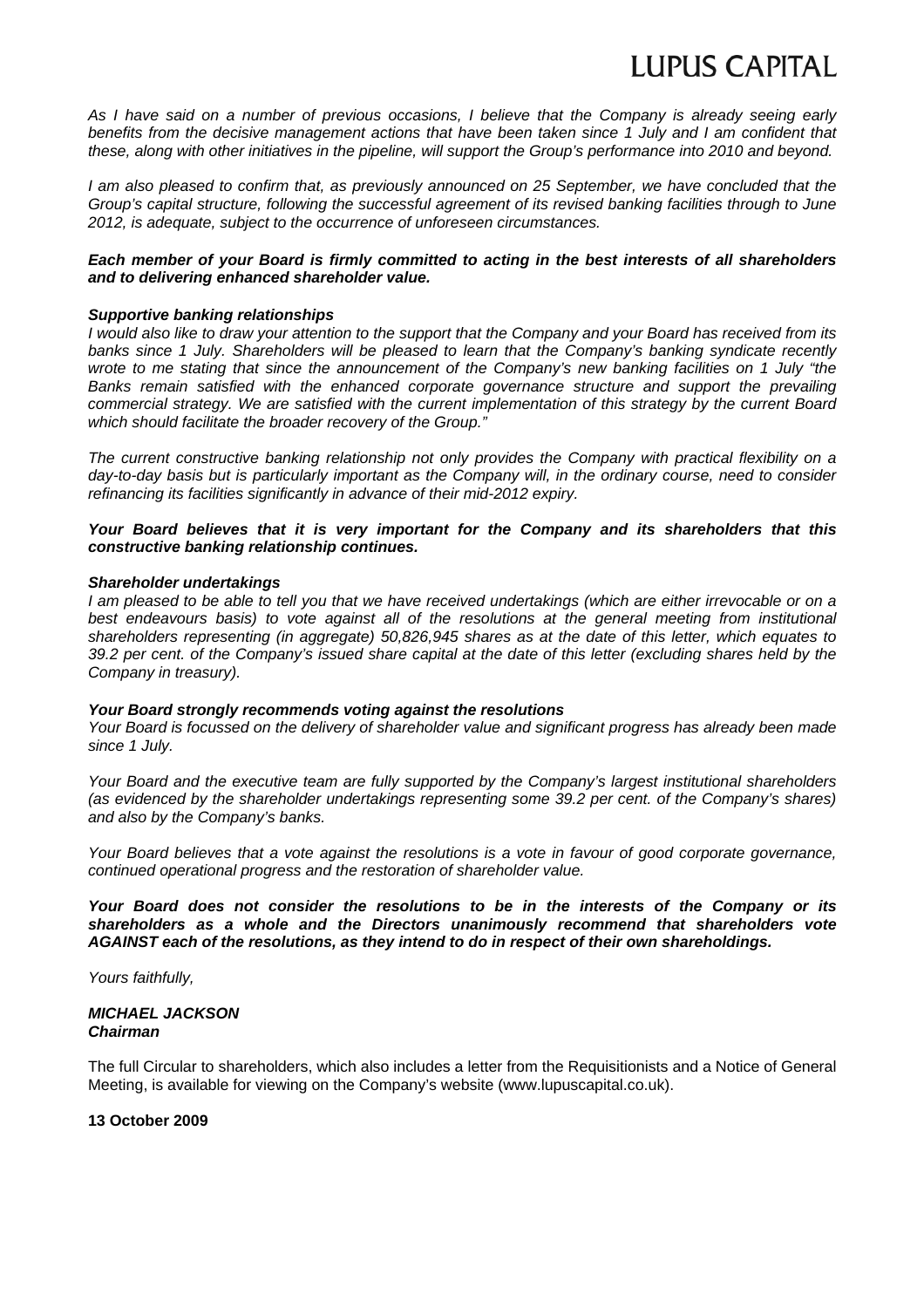# **LUPUS CAPITAL**

*As I have said on a number of previous occasions, I believe that the Company is already seeing early benefits from the decisive management actions that have been taken since 1 July and I am confident that these, along with other initiatives in the pipeline, will support the Group's performance into 2010 and beyond.* 

*I* am also pleased to confirm that, as previously announced on 25 September, we have concluded that the *Group's capital structure, following the successful agreement of its revised banking facilities through to June 2012, is adequate, subject to the occurrence of unforeseen circumstances.* 

### *Each member of your Board is firmly committed to acting in the best interests of all shareholders and to delivering enhanced shareholder value.*

### *Supportive banking relationships*

*I would also like to draw your attention to the support that the Company and your Board has received from its banks since 1 July. Shareholders will be pleased to learn that the Company's banking syndicate recently wrote to me stating that since the announcement of the Company's new banking facilities on 1 July "the Banks remain satisfied with the enhanced corporate governance structure and support the prevailing commercial strategy. We are satisfied with the current implementation of this strategy by the current Board which should facilitate the broader recovery of the Group."* 

*The current constructive banking relationship not only provides the Company with practical flexibility on a*  day-to-day basis but is particularly important as the Company will, in the ordinary course, need to consider *refinancing its facilities significantly in advance of their mid-2012 expiry.* 

### *Your Board believes that it is very important for the Company and its shareholders that this constructive banking relationship continues.*

### *Shareholder undertakings*

*I am pleased to be able to tell you that we have received undertakings (which are either irrevocable or on a best endeavours basis) to vote against all of the resolutions at the general meeting from institutional shareholders representing (in aggregate) 50,826,945 shares as at the date of this letter, which equates to 39.2 per cent. of the Company's issued share capital at the date of this letter (excluding shares held by the Company in treasury).* 

### *Your Board strongly recommends voting against the resolutions*

*Your Board is focussed on the delivery of shareholder value and significant progress has already been made since 1 July.* 

*Your Board and the executive team are fully supported by the Company's largest institutional shareholders (as evidenced by the shareholder undertakings representing some 39.2 per cent. of the Company's shares) and also by the Company's banks.* 

*Your Board believes that a vote against the resolutions is a vote in favour of good corporate governance, continued operational progress and the restoration of shareholder value.* 

*Your Board does not consider the resolutions to be in the interests of the Company or its shareholders as a whole and the Directors unanimously recommend that shareholders vote AGAINST each of the resolutions, as they intend to do in respect of their own shareholdings.* 

*Yours faithfully,* 

*MICHAEL JACKSON Chairman* 

The full Circular to shareholders, which also includes a letter from the Requisitionists and a Notice of General Meeting, is available for viewing on the Company's website (www.lupuscapital.co.uk).

**13 October 2009**